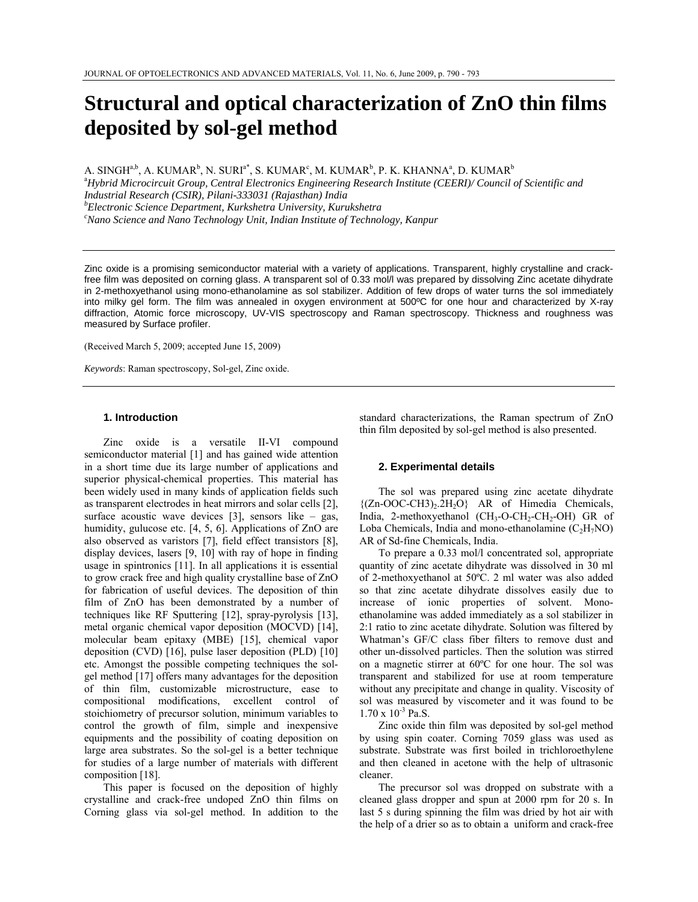# **Structural and optical characterization of ZnO thin films deposited by sol-gel method**

A. SINGH $a,b$ , A. KUMAR $^b$ , N. SURI $^{a^*}$ , S. KUMAR $^c$ , M. KUMAR $^b$ , P. K. KHANNA $^a$ , D. KUMAR $^b$ a *Hybrid Microcircuit Group, Central Electronics Engineering Research Institute (CEERI)/ Council of Scientific and Industrial Research (CSIR), Pilani-333031 (Rajasthan) India b Electronic Science Department, Kurkshetra University, Kurukshetra c Nano Science and Nano Technology Unit, Indian Institute of Technology, Kanpur* 

Zinc oxide is a promising semiconductor material with a variety of applications. Transparent, highly crystalline and crackfree film was deposited on corning glass. A transparent sol of 0.33 mol/l was prepared by dissolving Zinc acetate dihydrate in 2-methoxyethanol using mono-ethanolamine as sol stabilizer. Addition of few drops of water turns the sol immediately into milky gel form. The film was annealed in oxygen environment at 500ºC for one hour and characterized by X-ray diffraction, Atomic force microscopy, UV-VIS spectroscopy and Raman spectroscopy. Thickness and roughness was measured by Surface profiler.

(Received March 5, 2009; accepted June 15, 2009)

*Keywords*: Raman spectroscopy, Sol-gel, Zinc oxide.

#### **1. Introduction**

Zinc oxide is a versatile II-VI compound semiconductor material [1] and has gained wide attention in a short time due its large number of applications and superior physical-chemical properties. This material has been widely used in many kinds of application fields such as transparent electrodes in heat mirrors and solar cells [2], surface acoustic wave devices  $[3]$ , sensors like – gas, humidity, gulucose etc. [4, 5, 6]. Applications of ZnO are also observed as varistors [7], field effect transistors [8], display devices, lasers [9, 10] with ray of hope in finding usage in spintronics [11]. In all applications it is essential to grow crack free and high quality crystalline base of ZnO for fabrication of useful devices. The deposition of thin film of ZnO has been demonstrated by a number of techniques like RF Sputtering [12], spray-pyrolysis [13], metal organic chemical vapor deposition (MOCVD) [14], molecular beam epitaxy (MBE) [15], chemical vapor deposition (CVD) [16], pulse laser deposition (PLD) [10] etc. Amongst the possible competing techniques the solgel method [17] offers many advantages for the deposition of thin film, customizable microstructure, ease to compositional modifications, excellent control of stoichiometry of precursor solution, minimum variables to control the growth of film, simple and inexpensive equipments and the possibility of coating deposition on large area substrates. So the sol-gel is a better technique for studies of a large number of materials with different composition [18].

This paper is focused on the deposition of highly crystalline and crack-free undoped ZnO thin films on Corning glass via sol-gel method. In addition to the standard characterizations, the Raman spectrum of ZnO thin film deposited by sol-gel method is also presented.

#### **2. Experimental details**

The sol was prepared using zinc acetate dihydrate  $\{(Zn-OOC-CH3)_2.2H_2O\}$  AR of Himedia Chemicals, India, 2-methoxyethanol  $(CH_3-O-CH_2-CH_2-OH)$  GR of Loba Chemicals, India and mono-ethanolamine  $(C<sub>2</sub>H<sub>7</sub>NO)$ AR of Sd-fine Chemicals, India.

To prepare a 0.33 mol/l concentrated sol, appropriate quantity of zinc acetate dihydrate was dissolved in 30 ml of 2-methoxyethanol at 50ºC. 2 ml water was also added so that zinc acetate dihydrate dissolves easily due to increase of ionic properties of solvent. Monoethanolamine was added immediately as a sol stabilizer in 2:1 ratio to zinc acetate dihydrate. Solution was filtered by Whatman's GF/C class fiber filters to remove dust and other un-dissolved particles. Then the solution was stirred on a magnetic stirrer at 60ºC for one hour. The sol was transparent and stabilized for use at room temperature without any precipitate and change in quality. Viscosity of sol was measured by viscometer and it was found to be  $1.70 \times 10^{-3}$  Pa.S.

Zinc oxide thin film was deposited by sol-gel method by using spin coater. Corning 7059 glass was used as substrate. Substrate was first boiled in trichloroethylene and then cleaned in acetone with the help of ultrasonic cleaner.

The precursor sol was dropped on substrate with a cleaned glass dropper and spun at 2000 rpm for 20 s. In last 5 s during spinning the film was dried by hot air with the help of a drier so as to obtain a uniform and crack-free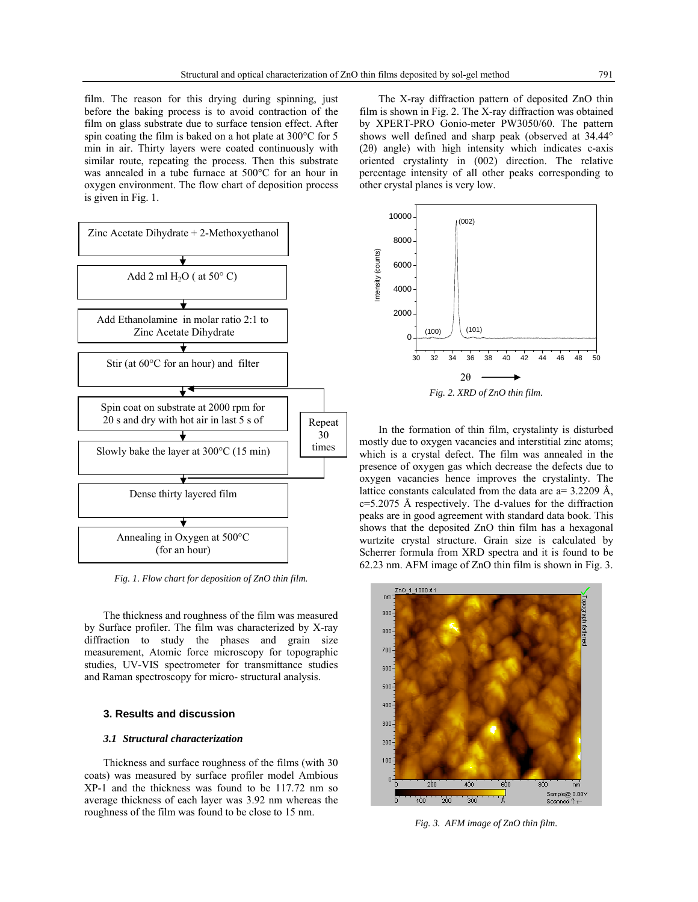film. The reason for this drying during spinning, just before the baking process is to avoid contraction of the film on glass substrate due to surface tension effect. After spin coating the film is baked on a hot plate at 300°C for 5 min in air. Thirty layers were coated continuously with similar route, repeating the process. Then this substrate was annealed in a tube furnace at 500°C for an hour in oxygen environment. The flow chart of deposition process is given in Fig. 1.



*Fig. 1. Flow chart for deposition of ZnO thin film.* 

The thickness and roughness of the film was measured by Surface profiler. The film was characterized by X-ray diffraction to study the phases and grain size measurement, Atomic force microscopy for topographic studies, UV-VIS spectrometer for transmittance studies and Raman spectroscopy for micro- structural analysis.

# **3. Results and discussion**

# *3.1 Structural characterization*

Thickness and surface roughness of the films (with 30 coats) was measured by surface profiler model Ambious XP-1 and the thickness was found to be 117.72 nm so average thickness of each layer was 3.92 nm whereas the roughness of the film was found to be close to 15 nm.

The X-ray diffraction pattern of deposited ZnO thin film is shown in Fig. 2. The X-ray diffraction was obtained by XPERT-PRO Gonio-meter PW3050/60. The pattern shows well defined and sharp peak (observed at 34.44° (2θ) angle) with high intensity which indicates c-axis oriented crystalinty in (002) direction. The relative percentage intensity of all other peaks corresponding to other crystal planes is very low.



In the formation of thin film, crystalinty is disturbed mostly due to oxygen vacancies and interstitial zinc atoms; which is a crystal defect. The film was annealed in the presence of oxygen gas which decrease the defects due to oxygen vacancies hence improves the crystalinty. The lattice constants calculated from the data are a= 3.2209 Å, c=5.2075 Å respectively. The d-values for the diffraction peaks are in good agreement with standard data book. This shows that the deposited ZnO thin film has a hexagonal wurtzite crystal structure. Grain size is calculated by Scherrer formula from XRD spectra and it is found to be 62.23 nm. AFM image of ZnO thin film is shown in Fig. 3.



*Fig. 3. AFM image of ZnO thin film.*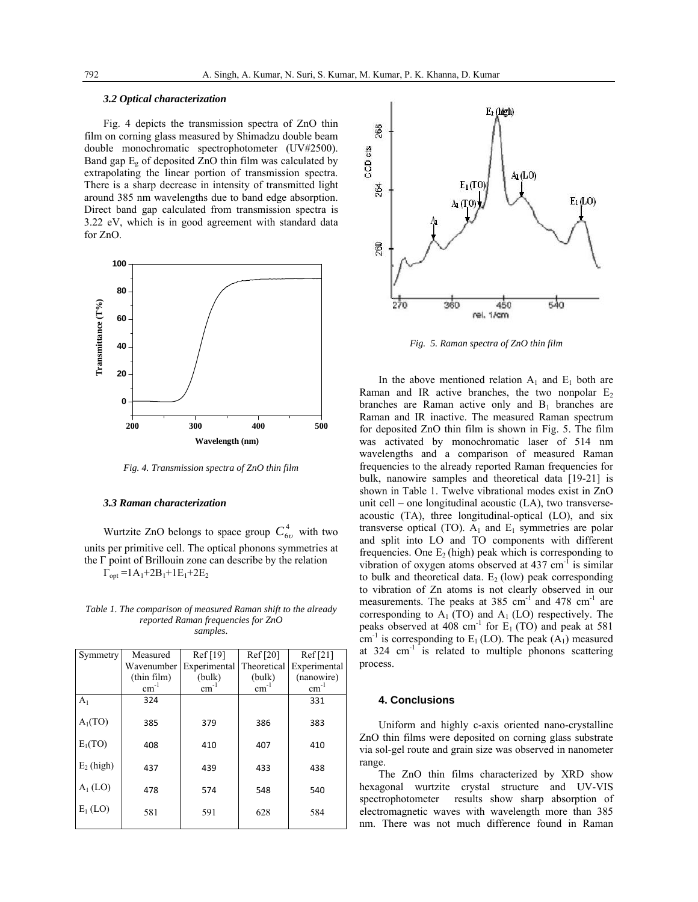# *3.2 Optical characterization*

Fig. 4 depicts the transmission spectra of ZnO thin film on corning glass measured by Shimadzu double beam double monochromatic spectrophotometer (UV#2500). Band gap  $E_g$  of deposited ZnO thin film was calculated by extrapolating the linear portion of transmission spectra. There is a sharp decrease in intensity of transmitted light around 385 nm wavelengths due to band edge absorption. Direct band gap calculated from transmission spectra is 3.22 eV, which is in good agreement with standard data for ZnO.



*Fig. 4. Transmission spectra of ZnO thin film* 

#### *3.3 Raman characterization*

Wurtzite ZnO belongs to space group  $C_{6\nu}^4$  with two units per primitive cell. The optical phonons symmetries at the Γ point of Brillouin zone can describe by the relation  $\Gamma_{opt} = 1A_1 + 2B_1 + 1E_1 + 2E_2$ 

*Table 1. The comparison of measured Raman shift to the already reported Raman frequencies for ZnO samples.* 

| Symmetry            | Measured    | Ref [19]     | Ref [20]    | Ref[21]      |
|---------------------|-------------|--------------|-------------|--------------|
|                     | Wavenumber  | Experimental | Theoretical | Experimental |
|                     | (thin film) | (bulk)       | (bulk)      | (nanowire)   |
|                     | $cm^{-1}$   | $cm^{-1}$    | $cm^{-1}$   | $cm^{-1}$    |
| A <sub>1</sub>      | 324         |              |             | 331          |
| A <sub>1</sub> (TO) | 385         | 379          | 386         | 383          |
| $E_1(TO)$           | 408         | 410          | 407         | 410          |
| $E_2$ (high)        | 437         | 439          | 433         | 438          |
| $A_1$ (LO)          | 478         | 574          | 548         | 540          |
| $E_1$ (LO)          | 581         | 591          | 628         | 584          |



*Fig. 5. Raman spectra of ZnO thin film* 

In the above mentioned relation  $A_1$  and  $E_1$  both are Raman and IR active branches, the two nonpolar  $E_2$ branches are Raman active only and  $B_1$  branches are Raman and IR inactive. The measured Raman spectrum for deposited ZnO thin film is shown in Fig. 5. The film was activated by monochromatic laser of 514 nm wavelengths and a comparison of measured Raman frequencies to the already reported Raman frequencies for bulk, nanowire samples and theoretical data [19-21] is shown in Table 1. Twelve vibrational modes exist in ZnO unit cell – one longitudinal acoustic (LA), two transverseacoustic (TA), three longitudinal-optical (LO), and six transverse optical (TO).  $A_1$  and  $E_1$  symmetries are polar and split into LO and TO components with different frequencies. One  $E_2$  (high) peak which is corresponding to vibration of oxygen atoms observed at  $437 \text{ cm}^{-1}$  is similar to bulk and theoretical data.  $E<sub>2</sub>$  (low) peak corresponding to vibration of Zn atoms is not clearly observed in our measurements. The peaks at  $385 \text{ cm}^{-1}$  and  $478 \text{ cm}^{-1}$  are corresponding to  $A_1(TO)$  and  $A_1(DO)$  respectively. The peaks observed at 408 cm<sup>-1</sup> for  $E_1$  (TO) and peak at 581 cm<sup>-1</sup> is corresponding to  $E_1 (LO)$ . The peak  $(A_1)$  measured at  $324 \text{ cm}^{-1}$  is related to multiple phonons scattering process.

#### **4. Conclusions**

Uniform and highly c-axis oriented nano-crystalline ZnO thin films were deposited on corning glass substrate via sol-gel route and grain size was observed in nanometer range.

The ZnO thin films characterized by XRD show hexagonal wurtzite crystal structure and UV-VIS spectrophotometer results show sharp absorption of electromagnetic waves with wavelength more than 385 nm. There was not much difference found in Raman